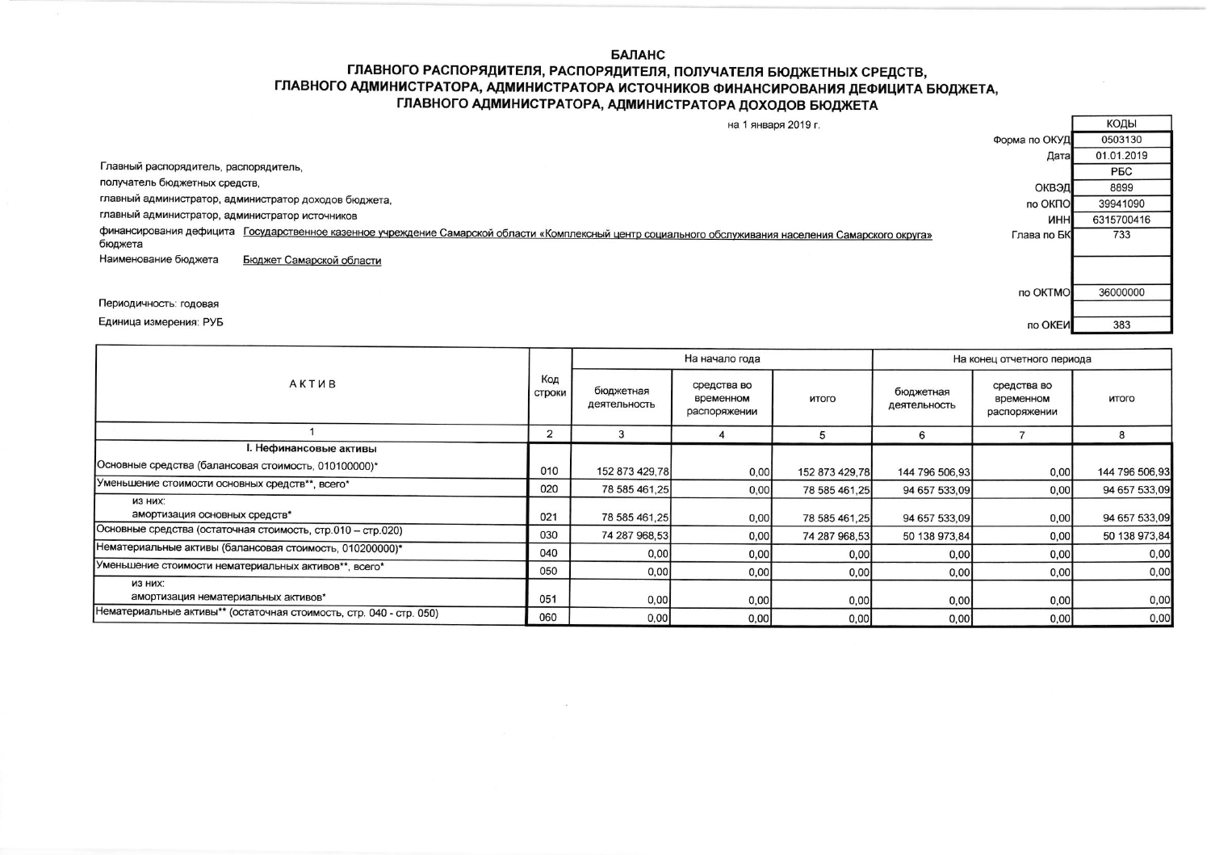**БАЛАНС** 

## ГЛАВНОГО РАСПОРЯДИТЕЛЯ, РАСПОРЯДИТЕЛЯ, ПОЛУЧАТЕЛЯ БЮДЖЕТНЫХ СРЕДСТВ, ГЛАВНОГО АДМИНИСТРАТОРА, АДМИНИСТРАТОРА ИСТОЧНИКОВ ФИНАНСИРОВАНИЯ ДЕФИЦИТА БЮДЖЕТА, ГЛАВНОГО АДМИНИСТРАТОРА, АДМИНИСТРАТОРА ДОХОДОВ БЮДЖЕТА

|                                                       | на 1 января 2019 г.                                                                                                                                    |               | коды       |
|-------------------------------------------------------|--------------------------------------------------------------------------------------------------------------------------------------------------------|---------------|------------|
|                                                       |                                                                                                                                                        | Форма по ОКУД | 0503130    |
|                                                       |                                                                                                                                                        | Дата          | 01.01.2019 |
| Главный распорядитель, распорядитель,                 |                                                                                                                                                        |               | <b>PEC</b> |
| получатель бюджетных средств,                         |                                                                                                                                                        | ОКВЭД         | 8899       |
| главный администратор, администратор доходов бюджета, |                                                                                                                                                        | по ОКПО       | 39941090   |
| главный администратор, администратор источников       |                                                                                                                                                        | <b>UHH</b>    | 6315700416 |
| бюджета                                               | финансирования дефицита Государственное казенное учреждение Самарской области «Комплексный центр социального обслуживания населения Самарского округа» | Глава по БК   | 733        |
| Наименование бюджета                                  | Бюджет Самарской области                                                                                                                               |               |            |
|                                                       |                                                                                                                                                        |               |            |
|                                                       |                                                                                                                                                        | no OKTMO      | 36000000   |
| Периодичность: годовая                                |                                                                                                                                                        |               |            |
| Единица измерения: РУБ                                |                                                                                                                                                        | по ОКЕИ       | 383        |
|                                                       |                                                                                                                                                        |               |            |

| <b>АКТИВ</b>                                                        |     | На начало года            |                                          |                | На конец отчетного периода |                                          |                |
|---------------------------------------------------------------------|-----|---------------------------|------------------------------------------|----------------|----------------------------|------------------------------------------|----------------|
|                                                                     |     | бюджетная<br>деятельность | средства во<br>временном<br>распоряжении | итого          | бюджетная<br>деятельность  | средства во<br>временном<br>распоряжении | итого          |
|                                                                     |     | 3                         |                                          |                | 6                          |                                          | 8              |
| I. Нефинансовые активы                                              |     |                           |                                          |                |                            |                                          |                |
| Основные средства (балансовая стоимость, 010100000)*                | 010 | 152 873 429,78            | 0,00                                     | 152 873 429,78 | 144 796 506,93             | 0,00                                     | 144 796 506,93 |
| Уменьшение стоимости основных средств**, всего*                     | 020 | 78 585 461,25             | 0,00                                     | 78 585 461.25  | 94 657 533.09              | 0,00                                     | 94 657 533,09  |
| ИЗ НИХ:<br>амортизация основных средств*                            | 021 | 78 585 461,25             | 0,00                                     | 78 585 461,25  | 94 657 533,09              | 0,00                                     | 94 657 533,09  |
| Основные средства (остаточная стоимость, стр.010 - стр.020)         | 030 | 74 287 968,53             | 0,00                                     | 74 287 968,53  | 50 138 973.84              | 0,00                                     | 50 138 973,84  |
| Нематериальные активы (балансовая стоимость, 010200000)*            | 040 | 0,00                      | 0,00                                     | 0,00           | 0,00                       | 0,00                                     | 0,00           |
| Уменьшение стоимости нематериальных активов**, всего*               | 050 | 0,00                      | 0,00                                     | 0,00           | 0,00                       | 0,00                                     | 0,00           |
| ИЗ НИХ:<br>амортизация нематериальных активов*                      | 051 | 0,00                      | 0,00                                     | 0,00           | 0,00                       | 0,00                                     | 0,00           |
| Нематериальные активы** (остаточная стоимость, стр. 040 - стр. 050) | 060 | 0,00                      | 0,00                                     | 0,00           | 0,00                       | 0,00                                     | 0,00           |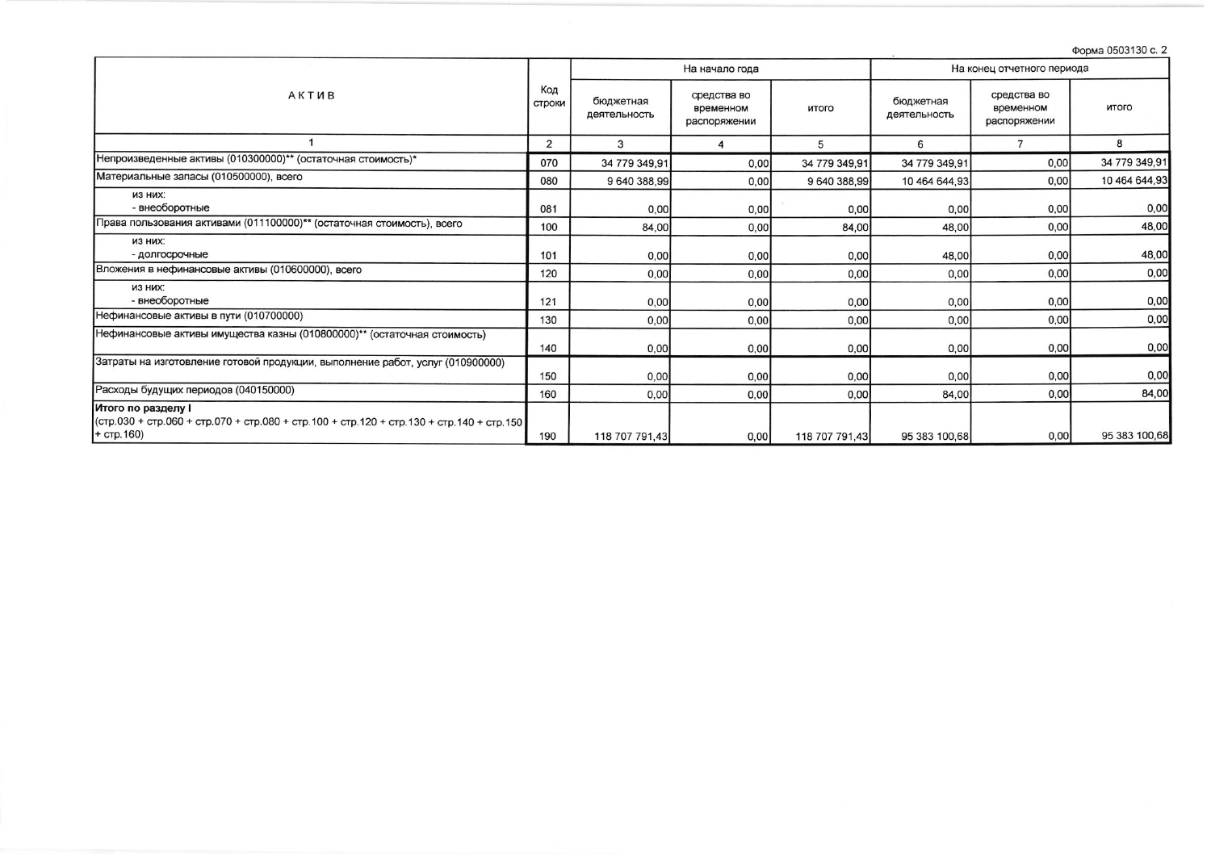Форма 0503130 с. 2

|                                                                                                                               |     | На начало года            |                                          |                | На конец отчетного периода |                                          |               |  |
|-------------------------------------------------------------------------------------------------------------------------------|-----|---------------------------|------------------------------------------|----------------|----------------------------|------------------------------------------|---------------|--|
| <b>АКТИВ</b>                                                                                                                  |     | бюджетная<br>деятельность | средства во<br>временном<br>распоряжении | итого          | бюджетная<br>деятельность  | средства во<br>временном<br>распоряжении | итого         |  |
|                                                                                                                               | 2   | 3                         | 4                                        | 5              | 6                          | $\overline{7}$                           | 8             |  |
| Непроизведенные активы (010300000)** (остаточная стоимость)*                                                                  | 070 | 34 779 349,91             | 0,00                                     | 34 779 349,91  | 34 779 349,91              | 0,00                                     | 34 779 349,91 |  |
| Материальные запасы (010500000), всего                                                                                        | 080 | 9 640 388,99              | 0,00                                     | 9 640 388,99   | 10 464 644,93              | 0,00                                     | 10 464 644,93 |  |
| ИЗ НИХ:<br>- внеоборотные                                                                                                     | 081 | 0,00                      | 0,00                                     | 0,00           | 0,00                       | 0,00                                     | 0,00          |  |
| Права пользования активами (011100000)** (остаточная стоимость), всего                                                        | 100 | 84,00                     | 0,00                                     | 84,00          | 48,00                      | 0,00                                     | 48,00         |  |
| ИЗ НИХ:<br>- долгосрочные                                                                                                     | 101 | 0,00                      | 0,00                                     | 0,00           | 48,00                      | 0,00                                     | 48,00         |  |
| Вложения в нефинансовые активы (010600000), всего                                                                             | 120 | 0,00                      | 0,00                                     | 0,00           | 0,00                       | 0,00                                     | 0,00          |  |
| ИЗ НИХ:<br>- внеоборотные                                                                                                     | 121 | 0,00                      | 0,00                                     | 0,00           | 0,00                       | 0,00                                     | 0,00          |  |
| Нефинансовые активы в пути (010700000)                                                                                        | 130 | 0,00                      | 0,00                                     | 0,00           | 0,00                       | 0,00                                     | 0,00          |  |
| Нефинансовые активы имущества казны (010800000)** (остаточная стоимость)                                                      | 140 | 0,00                      | 0,00                                     | 0,00           | 0,00                       | 0,00                                     | 0,00          |  |
| Затраты на изготовление готовой продукции, выполнение работ, услуг (010900000)                                                | 150 | 0,00                      | 0,00                                     | 0,00           | 0,00                       | 0,00                                     | 0,00          |  |
| Расходы будущих периодов (040150000)                                                                                          | 160 | 0,00                      | 0,00                                     | 0,00           | 84,00                      | 0,00                                     | 84,00         |  |
| Итого по разделу I<br>(стр.030 + стр.060 + стр.070 + стр.080 + стр.100 + стр.120 + стр.130 + стр.140 + стр.150<br>+ стр. 160) | 190 | 118 707 791.43            | 0,00                                     | 118 707 791.43 | 95 383 100,68              | 0,00                                     | 95 383 100,68 |  |